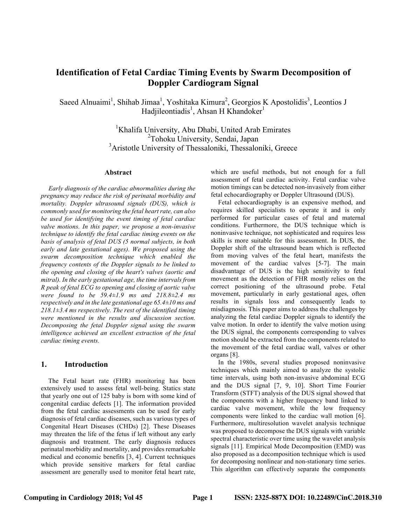# **Identification of Fetal Cardiac Timing Events by Swarm Decomposition of Doppler Cardiogram Signal**

Saeed Alnuaimi<sup>1</sup>, Shihab Jimaa<sup>1</sup>, Yoshitaka Kimura<sup>2</sup>, Georgios K Apostolidis<sup>3</sup>, Leontios J Hadjileontiadis<sup>1</sup>, Ahsan H Khandoker<sup>1</sup>

> <sup>1</sup>Khalifa University, Abu Dhabi, United Arab Emirates <sup>2</sup>Tohoku University, Sendai, Japan <sup>3</sup>Aristotle University of Thessaloniki, Thessaloniki, Greece

#### **Abstract**

*Early diagnosis of the cardiac abnormalities during the pregnancy may reduce the risk of perinatal morbidity and mortality. Doppler ultrasound signals (DUS), which is commonly used for monitoring the fetal heart rate, can also be used for identifying the event timing of fetal cardiac valve motions. In this paper, we propose a non-invasive technique to identify the fetal cardiac timing events on the basis of analysis of fetal DUS (5 normal subjects, in both early and late gestational ages). We proposed using the swarm decomposition technique which enabled the frequency contents of the Doppler signals to be linked to the opening and closing of the heart's valves (aortic and mitral). In the early gestational age, the time intervals from R peak of fetal ECG to opening and closing of aortic valve were found to be 59.4±1.9 ms and 218.8±2.4 ms respectively and in the late gestational age 65.4±10 ms and 218.1±3.4 ms respectively. The rest of the identified timing were mentioned in the results and discussion section. Decomposing the fetal Doppler signal using the swarm intelligence achieved an excellent extraction of the fetal cardiac timing events.*

## **1. Introduction**

The Fetal heart rate (FHR) monitoring has been extensively used to assess fetal well-being. Statics state that yearly one out of 125 baby is born with some kind of congenital cardiac defects [1]. The information provided from the fetal cardiac assessments can be used for early diagnosis of fetal cardiac diseases, such as various types of Congenital Heart Diseases (CHDs) [2]. These Diseases may threaten the life of the fetus if left without any early diagnosis and treatment. The early diagnosis reduces perinatal morbidity and mortality, and provides remarkable medical and economic benefits [3, 4]. Current techniques which provide sensitive markers for fetal cardiac assessment are generally used to monitor fetal heart rate,

which are useful methods, but not enough for a full assessment of fetal cardiac activity. Fetal cardiac valve motion timings can be detected non-invasively from either fetal echocardiography or Doppler Ultrasound (DUS).

Fetal echocardiography is an expensive method, and requires skilled specialists to operate it and is only performed for particular cases of fetal and maternal conditions. Furthermore, the DUS technique which is noninvasive technique, not sophisticated and requires less skills is more suitable for this assessment. In DUS, the Doppler shift of the ultrasound beam which is reflected from moving valves of the fetal heart, manifests the movement of the cardiac valves [5-7]. The main disadvantage of DUS is the high sensitivity to fetal movement as the detection of FHR mostly relies on the correct positioning of the ultrasound probe. Fetal movement, particularly in early gestational ages, often results in signals loss and consequently leads to misdiagnosis. This paper aims to address the challenges by analyzing the fetal cardiac Doppler signals to identify the valve motion. In order to identify the valve motion using the DUS signal, the components corresponding to valves motion should be extracted from the components related to the movement of the fetal cardiac wall, valves or other organs [8].

In the 1980s, several studies proposed noninvasive techniques which mainly aimed to analyze the systolic time intervals, using both non-invasive abdominal ECG and the DUS signal [7, 9, 10]. Short Time Fourier Transform (STFT) analysis of the DUS signal showed that the components with a higher frequency band linked to cardiac valve movement, while the low frequency components were linked to the cardiac wall motion [6]. Furthermore, multiresolution wavelet analysis technique was proposed to decompose the DUS signals with variable spectral characteristic over time using the wavelet analysis signals [11]. Empirical Mode Decomposition (EMD) was also proposed as a decomposition technique which is used for decomposing nonlinear and non-stationary time series. This algorithm can effectively separate the components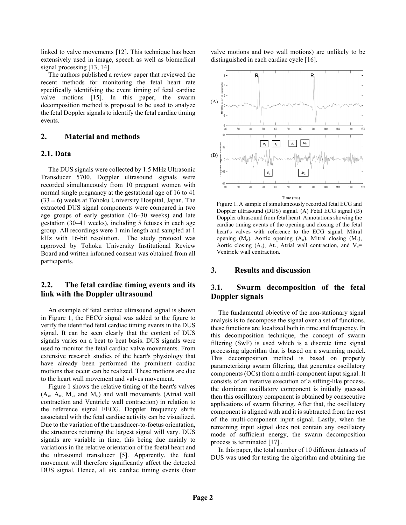linked to valve movements [12]. This technique has been extensively used in image, speech as well as biomedical signal processing [13, 14].

The authors published a review paper that reviewed the recent methods for monitoring the fetal heart rate specifically identifying the event timing of fetal cardiac valve motions [15]. In this paper, the swarm decomposition method is proposed to be used to analyze the fetal Doppler signals to identify the fetal cardiac timing events.

### **2. Material and methods**

## **2.1. Data**

The DUS signals were collected by 1.5 MHz Ultrasonic Transducer 5700. Doppler ultrasound signals were recorded simultaneously from 10 pregnant women with normal single pregnancy at the gestational age of 16 to 41  $(33 \pm 6)$  weeks at Tohoku University Hospital, Japan. The extracted DUS signal components were compared in two age groups of early gestation (16–30 weeks) and late gestation (30–41 weeks), including 5 fetuses in each age group. All recordings were 1 min length and sampled at 1 kHz with 16-bit resolution. The study protocol was approved by Tohoku University Institutional Review Board and written informed consent was obtained from all participants.

## **2.2. The fetal cardiac timing events and its link with the Doppler ultrasound**

An example of fetal cardiac ultrasound signal is shown in Figure 1, the FECG signal was added to the figure to verify the identified fetal cardiac timing events in the DUS signal. It can be seen clearly that the content of DUS signals varies on a beat to beat basis. DUS signals were used to monitor the fetal cardiac valve movements. From extensive research studies of the heart's physiology that have already been performed the prominent cardiac motions that occur can be realized. These motions are due to the heart wall movement and valves movement.

Figure 1 shows the relative timing of the heart's valves  $(A_c, A_o, M_c, and M_o)$  and wall movements (Atrial wall contraction and Ventricle wall contraction) in relation to the reference signal FECG. Doppler frequency shifts associated with the fetal cardiac activity can be visualized. Due to the variation of the transducer-to-foetus orientation, the structures returning the largest signal will vary. DUS signals are variable in time, this being due mainly to variations in the relative orientation of the foetal heart and the ultrasound transducer [5]. Apparently, the fetal movement will therefore significantly affect the detected DUS signal. Hence, all six cardiac timing events (four valve motions and two wall motions) are unlikely to be distinguished in each cardiac cycle [16].



Figure 1. A sample of simultaneously recorded fetal ECG and Doppler ultrasound (DUS) signal. (A) Fetal ECG signal (B) Doppler ultrasound from fetal heart. Annotations showing the cardiac timing events of the opening and closing of the fetal heart's valves with reference to the ECG signal. Mitral opening  $(M_0)$ , Aortic opening  $(A_0)$ , Mitral closing  $(M_c)$ , Aortic closing (Ac), At<sub>c</sub>, Atrial wall contraction, and  $V_c$ = Ventricle wall contraction.

## **3. Results and discussion**

# **3.1. Swarm decomposition of the fetal Doppler signals**

The fundamental objective of the non-stationary signal analysis is to decompose the signal over a set of functions, these functions are localized both in time and frequency. In this decomposition technique, the concept of swarm filtering (SwF) is used which is a discrete time signal processing algorithm that is based on a swarming model. This decomposition method is based on properly parameterizing swarm filtering, that generates oscillatory components (OCs) from a multi-component input signal. It consists of an iterative execution of a sifting-like process, the dominant oscillatory component is initially guessed then this oscillatory component is obtained by consecutive applications of swarm filtering. After that, the oscillatory component is aligned with and it is subtracted from the rest of the multi-component input signal. Lastly, when the remaining input signal does not contain any oscillatory mode of sufficient energy, the swarm decomposition process is terminated [17] .

In this paper, the total number of 10 different datasets of DUS was used for testing the algorithm and obtaining the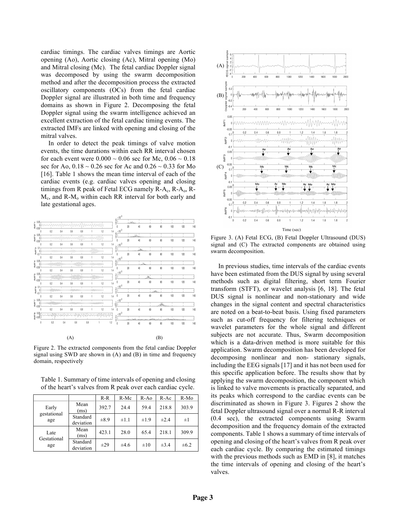cardiac timings. The cardiac valves timings are Aortic opening (Ao), Aortic closing (Ac), Mitral opening (Mo) and Mitral closing (Mc). The fetal cardiac Doppler signal was decomposed by using the swarm decomposition method and after the decomposition process the extracted oscillatory components (OCs) from the fetal cardiac Doppler signal are illustrated in both time and frequency domains as shown in Figure 2. Decomposing the fetal Doppler signal using the swarm intelligence achieved an excellent extraction of the fetal cardiac timing events. The extracted IMFs are linked with opening and closing of the mitral valves.

In order to detect the peak timings of valve motion events, the time durations within each RR interval chosen for each event were  $0.000 \sim 0.06$  sec for Mc,  $0.06 \sim 0.18$ sec for Ao,  $0.18 \sim 0.26$  sec for Ac and  $0.26 \sim 0.33$  for Mo [16]. Table 1 shows the mean time interval of each of the cardiac events (e.g. cardiac valves opening and closing timings from R peak of Fetal ECG namely  $R-A_c$ ,  $R-A_o$ ,  $R-A_o$  $M_c$ , and R- $M_o$  within each RR interval for both early and late gestational ages.

 $\ldots$ 3

|                                                                                                                             |          |     |     |        |       |     |                      |        | хw                        |                |        |       |         |                |     |     |
|-----------------------------------------------------------------------------------------------------------------------------|----------|-----|-----|--------|-------|-----|----------------------|--------|---------------------------|----------------|--------|-------|---------|----------------|-----|-----|
|                                                                                                                             |          |     |     |        |       |     |                      |        | \$Ê                       | مايدرا         |        |       |         |                |     |     |
| $\begin{array}{ll} 0.05 \\ \underline{\mathbb{E}} & 0 \\ \underline{\mathbb{E}} & 0 \\ -0.05 \end{array}$                   |          |     |     |        |       |     | <i>\\MAN</i>         |        | $\theta$                  | $\infty$       | 40     | 60    | 80      | 100            | 120 | 140 |
|                                                                                                                             | $\theta$ | 0.2 | 0.4 | 0.6    | $0.8$ |     | 1.2                  | 1.4    | $\times10^3$              |                |        |       |         |                |     |     |
|                                                                                                                             |          |     |     |        |       |     | ΛM                   |        | âÊ                        |                | hiha   |       |         |                |     |     |
| $\overset{\text{\tiny{Q}}}{\underset{\text{\tiny{D}}}{\mathstrut}}\overset{0.05}{\underset{\text{\tiny{Q}}}{\mathstrut}}\,$ |          |     |     | ww     |       |     |                      |        | 0                         | 20             | 40     | 60    | 80      | 100            | 120 | 140 |
|                                                                                                                             | $\theta$ | 0.2 | 0.4 | 0.6    | 0.8   |     | 1.2                  | $1\AA$ | $\times 10^{\text{-}3}$   |                |        |       |         |                |     |     |
| $\sum_{i=0}^{8} 0.1$                                                                                                        |          |     |     |        |       |     | Aven                 |        | Ś<br>L<br>Ô.              |                | indue. |       |         |                |     |     |
|                                                                                                                             |          |     |     |        |       |     |                      |        | Ō                         | 20             | 40     | 60    | 80      | 100            | 120 | 140 |
|                                                                                                                             | $\theta$ | 0.2 | 0.4 | 0.6    | 0.8   | 1   | 1.2                  | 1.4    | $\times10^3$              |                |        |       |         |                |     |     |
| $\stackrel{\scriptscriptstyle \times}{\geq}\stackrel{0.06}{\scriptscriptstyle \times\ 0}$                                   |          |     |     |        |       |     | Www.Www              |        | ξÊ                        |                |        |       |         |                |     |     |
|                                                                                                                             |          |     |     |        |       |     |                      |        | Ō                         | 20             | 40     | 60    | 80      | 100            | 120 | 140 |
|                                                                                                                             | $\theta$ | 0.2 | 0.4 | 0.6    | 0.8   | 1   | 1.2                  | 1.4    | $\times10^3$              |                |        |       |         |                |     |     |
| $\stackrel{\text{10}}{\geq} \,\, {}^{0.05}_{-0.05}$                                                                         |          |     |     |        |       |     | Www                  |        | Ş                         |                |        | Ж.    |         |                |     |     |
|                                                                                                                             |          |     |     |        |       |     |                      | 14     | 0                         | $20$           | 40     | 60    | 80      | 100            | 120 | 140 |
|                                                                                                                             | $\theta$ | 0.2 | 0.4 | 0.6    | 0.8   |     | 1.2                  |        | $\times10^{3}$            |                |        |       |         |                |     |     |
| $\begin{array}{c} 0.1 \\ E_{0} \\ \Xi_{0,1} \end{array}$                                                                    |          |     |     | -MMMMM |       |     | <b>atlantivament</b> |        | 2                         |                |        | باللا |         |                |     |     |
|                                                                                                                             | $\theta$ | 0.2 | 0.4 | 0.6    | 0.8   |     | 1.2                  | 1.4    | Ô.<br>0                   | $20$           | 40     | 60    | 80      | 100            | 120 | 140 |
|                                                                                                                             |          |     |     |        |       |     |                      |        | $\underline{\times 10}^3$ |                |        |       |         |                |     |     |
| $\stackrel{\textstyle\sim}{\geq}\,\stackrel{0.05}{\underset{-0.05}{\simeq}}\,$                                              |          |     |     |        |       |     |                      |        | 카                         |                |        |       | بقافاته |                |     |     |
|                                                                                                                             | $\theta$ | 0.2 | 0.4 | 0.6    | 0.8   |     | 1.2                  | 1,4    | $\mathbf{0}$              | $20\,$         | 40     | 60    | 80      | 100            | 120 | 140 |
|                                                                                                                             |          |     |     |        |       |     |                      |        | $\times10^3$              |                |        |       |         |                |     |     |
| $\begin{array}{c} 0.05 \\ \underline{\underline{1}} \\ 2.005 \end{array}$                                                   |          |     |     |        |       |     |                      |        | ŞÊ                        |                |        | سلخند |         |                |     |     |
|                                                                                                                             | $\theta$ | 0.2 | 0.4 | 0.6    |       | 0.8 | 1                    | 1.2    |                           | And of<br>$20$ |        |       |         | سيميه تفسيحانه |     |     |
|                                                                                                                             |          |     |     |        |       |     |                      |        | 0                         |                | 40     | 60    | 80      | 100            | 120 | 140 |
|                                                                                                                             |          |     |     |        |       |     |                      |        |                           |                |        |       |         |                |     |     |
|                                                                                                                             |          |     |     |        |       |     |                      |        |                           |                |        |       |         |                |     |     |
|                                                                                                                             |          |     |     | (A)    |       |     |                      |        |                           |                |        |       | (B)     |                |     |     |

Figure 2. The extracted components from the fetal cardiac Doppler signal using SWD are shown in (A) and (B) in time and frequency domain, respectively

Table 1. Summary of time intervals of opening and closing of the heart's valves from R peak over each cardiac cycle.

|                     |                       | $R-R$     | $R-Mc$    | $R-Ao$    | $R-Ac$    | R-Mo      |
|---------------------|-----------------------|-----------|-----------|-----------|-----------|-----------|
| Early               | Mean<br>(ms)          | 392.7     | 24.4      | 59.4      | 218.8     | 303.9     |
| gestational<br>age  | Standard<br>deviation | $\pm 8.9$ | $\pm 1.1$ | $\pm 1.9$ | $\pm 2.4$ | $\pm 1$   |
| Late<br>Gestational | Mean<br>(ms)          | 423.1     | 28.0      | 65.4      | 218.1     | 309.9     |
| age                 | Standard<br>deviation | $\pm 29$  | $\pm 4.6$ | $\pm 10$  | $\pm 3.4$ | $\pm 6.2$ |



Figure 3. (A) Fetal ECG, (B) Fetal Doppler Ultrasound (DUS) signal and (C) The extracted components are obtained using swarm decomposition.

In previous studies, time intervals of the cardiac events have been estimated from the DUS signal by using several methods such as digital filtering, short term Fourier transform (STFT), or wavelet analysis [6, 18]. The fetal DUS signal is nonlinear and non-stationary and wide changes in the signal content and spectral characteristics are noted on a beat-to-beat basis. Using fixed parameters such as cut-off frequency for filtering techniques or wavelet parameters for the whole signal and different subjects are not accurate. Thus, Swarm decomposition which is a data-driven method is more suitable for this application. Swarm decomposition has been developed for decomposing nonlinear and non- stationary signals, including the EEG signals [17] and it has not been used for this specific application before. The results show that by applying the swarm decomposition, the component which is linked to valve movements is practically separated, and its peaks which correspond to the cardiac events can be discriminated as shown in Figure 3. Figures 2 show the fetal Doppler ultrasound signal over a normal R-R interval (0.4 sec), the extracted components using Swarm decomposition and the frequency domain of the extracted components. Table 1 shows a summary of time intervals of opening and closing of the heart's valves from R peak over each cardiac cycle. By comparing the estimated timings with the previous methods such as EMD in [8], it matches the time intervals of opening and closing of the heart's valves.